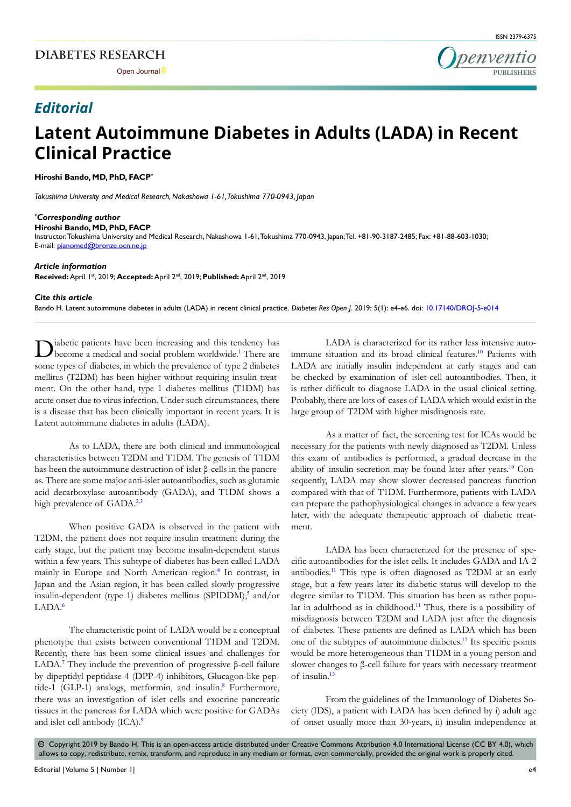

## *Editorial*

# **Latent Autoimmune Diabetes in Adults (LADA) in Recent Clinical Practice**

**Hiroshi Bando, MD, PhD, FACP\***

*Tokushima University and Medical Research, Nakashowa 1-61, Tokushima 770-0943, Japan*

#### *\* Corresponding author*

**Hiroshi Bando, MD, PhD, FACP** 

Instructor, Tokushima University and Medical Research, Nakashowa 1-61, Tokushima 770-0943, Japan; Tel. +81-90-3187-2485; Fax: +81-88-603-1030; E-mail: pianomed@bronze.ocn.ne.jp

#### *Article information*

**Received:** April 1st, 2019; **Accepted:** April 2nd, 2019; **Published:** April 2nd, 2019

#### *Cite this article*

Bando H. Latent autoimmune diabetes in adults (LADA) in recent clinical practice. *Diabetes Res Open J*. 2019; 5(1): e4-e6. doi: [10.17140/DROJ-5-e014](https://dx.doi.org/10.17140/DROJ-5-e014)

Diabetic patients have been increasing and this tendency has become a medical and social problem worldwide.<sup>1</sup> There are some types of diabetes, in which the prevalence of type 2 diabetes mellitus (T2DM) has been higher without requiring insulin treatment. On the other hand, type 1 diabetes mellitus (T1DM) has acute onset due to virus infection. Under such circumstances, there is a disease that has been clinically important in recent years. It is Latent autoimmune diabetes in adults (LADA).

As to LADA, there are both clinical and immunological characteristics between T2DM and T1DM. The genesis of T1DM has been the autoimmune destruction of islet β-cells in the pancreas. There are some major anti-islet autoantibodies, such as glutamic acid decarboxylase autoantibody (GADA), and T1DM shows a high prevalence of GADA.<sup>[2,3](#page-1-1)</sup>

When positive GADA is observed in the patient with T2DM, the patient does not require insulin treatment during the early stage, but the patient may become insulin-dependent status within a few years. This subtype of diabetes has been called LADA mainly in Europe and North American region.<sup>[4](#page-1-2)</sup> In contrast, in Japan and the Asian region, it has been called slowly progressive insulin-dependent (type 1) diabetes mellitus (SPIDDM),<sup>[5](#page-1-3)</sup> and/or LADA.[6](#page-1-4)

The characteristic point of LADA would be a conceptual phenotype that exists between conventional T1DM and T2DM. Recently, there has been some clinical issues and challenges for LADA.<sup>[7](#page-1-5)</sup> They include the prevention of progressive β-cell failure by dipeptidyl peptidase-4 (DPP-4) inhibitors, Glucagon-like pep-tide-1 (GLP-1) analogs, metformin, and insulin.<sup>[8](#page-1-6)</sup> Furthermore, there was an investigation of islet cells and exocrine pancreatic tissues in the pancreas for LADA which were positive for GADAs and islet cell antibody (ICA).<sup>[9](#page-1-7)</sup>

LADA is characterized for its rather less intensive auto-immune situation and its broad clinical features.<sup>[10](#page-1-8)</sup> Patients with LADA are initially insulin independent at early stages and can be checked by examination of islet-cell autoantibodies. Then, it is rather difficult to diagnose LADA in the usual clinical setting. Probably, there are lots of cases of LADA which would exist in the large group of T2DM with higher misdiagnosis rate.

As a matter of fact, the screening test for ICAs would be necessary for the patients with newly diagnosed as T2DM. Unless this exam of antibodies is performed, a gradual decrease in the ability of insulin secretion may be found later after years.<sup>[10](#page-1-8)</sup> Consequently, LADA may show slower decreased pancreas function compared with that of T1DM. Furthermore, patients with LADA can prepare the pathophysiological changes in advance a few years later, with the adequate therapeutic approach of diabetic treatment.

LADA has been characterized for the presence of specific autoantibodies for the islet cells. It includes GADA and IA-2 antibodies.[11](#page-2-0) This type is often diagnosed as T2DM at an early stage, but a few years later its diabetic status will develop to the degree similar to T1DM. This situation has been as rather popu-lar in adulthood as in childhood.<sup>[11](#page-2-0)</sup> Thus, there is a possibility of misdiagnosis between T2DM and LADA just after the diagnosis of diabetes. These patients are defined as LADA which has been one of the subtypes of autoimmune diabetes.[12](#page-2-1) Its specific points would be more heterogeneous than T1DM in a young person and slower changes to β-cell failure for years with necessary treatment of insulin.[13](#page-2-2)

From the guidelines of the Immunology of Diabetes Society (IDS), a patient with LADA has been defined by i) adult age of onset usually more than 30-years, ii) insulin independence at

 $\circledast$  Copyright 2019 by Bando H. This is an open-access article distributed under Creative Commons Attribution 4.0 International License (CC BY 4.0), which allows to copy, redistribute, remix, transform, and reproduce in any medium or format, even commercially, provided the original work is properly cited.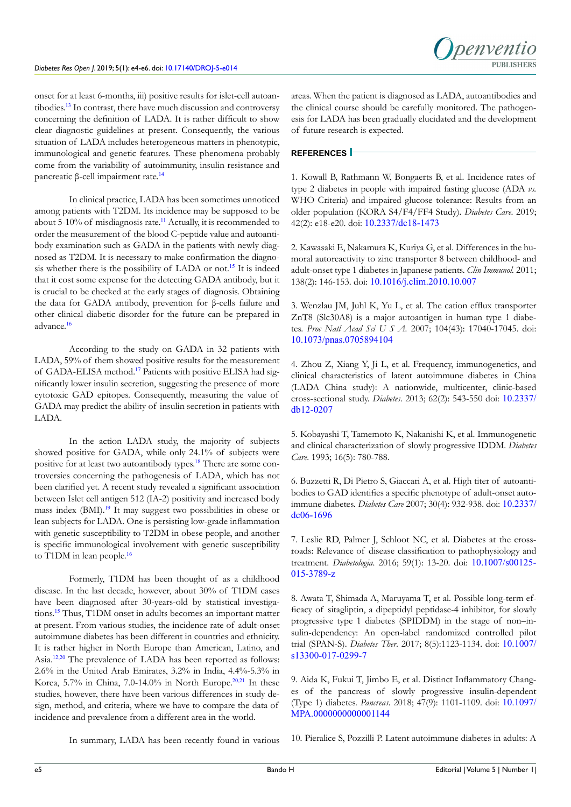

onset for at least 6-months, iii) positive results for islet-cell autoantibodies.[13](#page-2-2) In contrast, there have much discussion and controversy concerning the definition of LADA. It is rather difficult to show clear diagnostic guidelines at present. Consequently, the various situation of LADA includes heterogeneous matters in phenotypic, immunological and genetic features. These phenomena probably come from the variability of autoimmunity, insulin resistance and pancreatic β-cell impairment rate.[14](#page-2-3)

In clinical practice, LADA has been sometimes unnoticed among patients with T2DM. Its incidence may be supposed to be about 5-10% of misdiagnosis rate.<sup>[11](#page-2-0)</sup> Actually, it is recommended to order the measurement of the blood C-peptide value and autoantibody examination such as GADA in the patients with newly diagnosed as T2DM. It is necessary to make confirmation the diagno-sis whether there is the possibility of LADA or not.<sup>[15](#page-2-4)</sup> It is indeed that it cost some expense for the detecting GADA antibody, but it is crucial to be checked at the early stages of diagnosis. Obtaining the data for GADA antibody, prevention for β-cells failure and other clinical diabetic disorder for the future can be prepared in advance.[16](#page-2-5)

According to the study on GADA in 32 patients with LADA, 59% of them showed positive results for the measurement of GADA-ELISA method.[17](#page-2-6) Patients with positive ELISA had significantly lower insulin secretion, suggesting the presence of more cytotoxic GAD epitopes. Consequently, measuring the value of GADA may predict the ability of insulin secretion in patients with LADA.

In the action LADA study, the majority of subjects showed positive for GADA, while only 24.1% of subjects were positive for at least two autoantibody types.[18](#page-2-7) There are some controversies concerning the pathogenesis of LADA, which has not been clarified yet. A recent study revealed a significant association between Islet cell antigen 512 (IA-2) positivity and increased body mass index (BMI).[19](#page-2-8) It may suggest two possibilities in obese or lean subjects for LADA. One is persisting low-grade inflammation with genetic susceptibility to T2DM in obese people, and another is specific immunological involvement with genetic susceptibility to T1DM in lean people.<sup>[16](#page-2-5)</sup>

Formerly, T1DM has been thought of as a childhood disease. In the last decade, however, about 30% of T1DM cases have been diagnosed after 30-years-old by statistical investigations.[15](#page-2-4) Thus, T1DM onset in adults becomes an important matter at present. From various studies, the incidence rate of adult-onset autoimmune diabetes has been different in countries and ethnicity. It is rather higher in North Europe than American, Latino, and Asia.[12](#page-2-1)[,20](#page-2-9) The prevalence of LADA has been reported as follows: 2.6% in the United Arab Emirates, 3.2% in India, 4.4%-5.3% in Korea, 5.7% in China, 7.0-14.0% in North Europe.<sup>[20,21](#page-2-9)</sup> In these studies, however, there have been various differences in study design, method, and criteria, where we have to compare the data of incidence and prevalence from a different area in the world.

areas. When the patient is diagnosed as LADA, autoantibodies and the clinical course should be carefully monitored. The pathogenesis for LADA has been gradually elucidated and the development of future research is expected.

### **REFERENCES**

<span id="page-1-0"></span>1. Kowall B, Rathmann W, Bongaerts B, et al. Incidence rates of type 2 diabetes in people with impaired fasting glucose (ADA *vs.* WHO Criteria) and impaired glucose tolerance: Results from an older population (KORA S4/F4/FF4 Study). *Diabetes Care*. 2019; 42(2): e18-e20. doi: [10.2337/dc18-1473](https://doi.org/10.2337/dc18-1473)

<span id="page-1-1"></span>2. Kawasaki E, Nakamura K, Kuriya G, et al. Differences in the humoral autoreactivity to zinc transporter 8 between childhood- and adult-onset type 1 diabetes in Japanese patients. *Clin Immunol.* 2011; 138(2): 146-153. doi: [10.1016/j.clim.2010.10.007](https://doi.org/10.1016/j.clim.2010.10.007)

3. Wenzlau JM, Juhl K, Yu L, et al. The cation efflux transporter ZnT8 (Slc30A8) is a major autoantigen in human type 1 diabetes. *Proc Natl Acad Sci U S A.* 2007; 104(43): 17040-17045. doi: [10.1073/pnas.0705894104](https://doi.org/10.1073/pnas.0705894104)

<span id="page-1-2"></span>4. Zhou Z, Xiang Y, Ji L, et al. Frequency, immunogenetics, and clinical characteristics of latent autoimmune diabetes in China (LADA China study): A nationwide, multicenter, clinic-based cross-sectional study. *Diabetes*. 2013; 62(2): 543-550 doi: [10.2337/](https://doi.org/10.2337/db12-0207) [db12-0207](https://doi.org/10.2337/db12-0207)

<span id="page-1-3"></span>5. Kobayashi T, Tamemoto K, Nakanishi K, et al. Immunogenetic and clinical characterization of slowly progressive IDDM. *Diabetes Care*. 1993; 16(5): 780-788.

<span id="page-1-4"></span>6. Buzzetti R, Di Pietro S, Giaccari A, et al. High titer of autoantibodies to GAD identifies a specific phenotype of adult-onset autoimmune diabetes. *Diabetes Care* 2007; 30(4): 932-938. doi: [10.2337/](https://doi.org/10.2337/dc06-1696) [dc06-1696](https://doi.org/10.2337/dc06-1696)

<span id="page-1-5"></span>7. Leslie RD, Palmer J, Schloot NC, et al. Diabetes at the crossroads: Relevance of disease classification to pathophysiology and treatment. *Diabetologia*. 2016; 59(1): 13-20. doi: [10.1007/s00125-](https://doi.org/10.1007/s00125-015-3789-z) [015-3789-z](https://doi.org/10.1007/s00125-015-3789-z)

<span id="page-1-6"></span>8. Awata T, Shimada A, Maruyama T, et al. Possible long-term efficacy of sitagliptin, a dipeptidyl peptidase-4 inhibitor, for slowly progressive type 1 diabetes (SPIDDM) in the stage of non–insulin-dependency: An open-label randomized controlled pilot trial (SPAN-S). *Diabetes Ther*. 2017; 8(5):1123-1134. doi: [10.1007/](https://doi.org/10.1007/s13300-017-0299-7) [s13300-017-0299-7](https://doi.org/10.1007/s13300-017-0299-7)

<span id="page-1-7"></span>9. Aida K, Fukui T, Jimbo E, et al. Distinct Inflammatory Changes of the pancreas of slowly progressive insulin-dependent (Type 1) diabetes. *Pancreas*. 2018; 47(9): 1101-1109. doi: [10.1097/](https://dx.doi.org/10.1097%252FMPA.0000000000001144) [MPA.0000000000001144](https://dx.doi.org/10.1097%252FMPA.0000000000001144)

In summary, LADA has been recently found in various

<span id="page-1-8"></span>10. Pieralice S, Pozzilli P. Latent autoimmune diabetes in adults: A